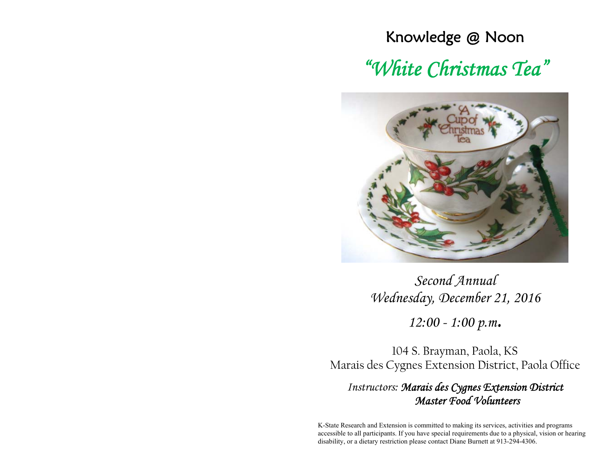### Knowledge @ Noon

# *"White Christmas Tea"*



*Second Annual Wednesday, December 21, 2016* 

*12:00 - 1:00 p.m.* 

104 S. Brayman, Paola, KS Marais des Cygnes Extension District, Paola Office

*Instructors: Marais des Cygnes Extension District Master Food Volunteers* 

K-State Research and Extension is committed to making its services, activities and programs accessible to all participants. If you have special requirements due to a physical, vision or hearing disability, or a dietary restriction please contact Diane Burnett at 913-294-4306.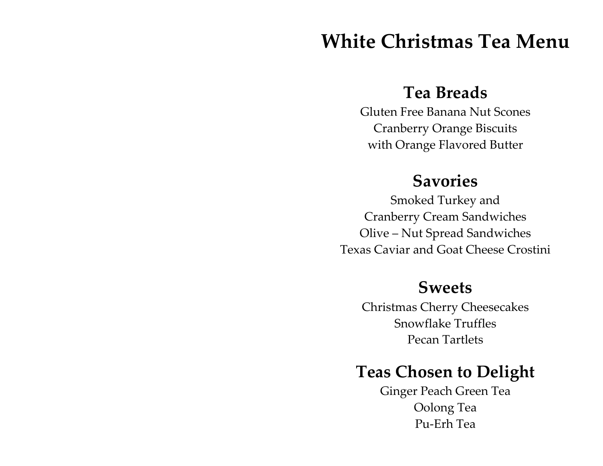# **White Christmas Tea Menu**

## **Tea Breads**

Gluten Free Banana Nut Scones Cranberry Orange Biscuits with Orange Flavored Butter

## **Savories**

Smoked Turkey and Cranberry Cream Sandwiches Olive – Nut Spread Sandwiches Texas Caviar and Goat Cheese Crostini

## **Sweets**

Christmas Cherry Cheesecakes Snowflake Truffles Pecan Tartlets

# **Teas Chosen to Delight**

Ginger Peach Green Tea Oolong Tea Pu‐Erh Tea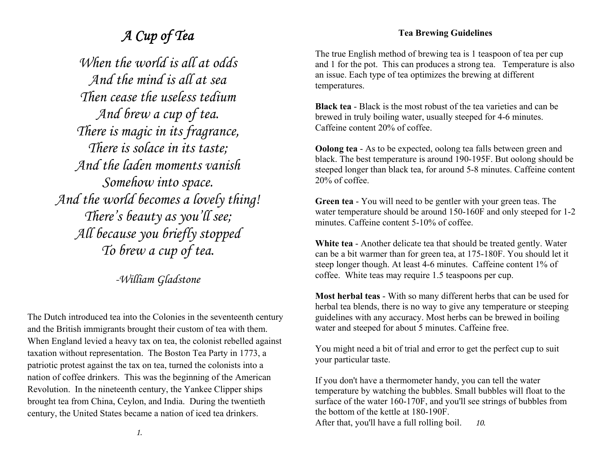### *A Cup of Tea*

*When the world is all at odds And the mind is all at sea Then cease the useless tedium And brew a cup of tea. There is magic in its fragrance, There is solace in its taste; And the laden moments vanish Somehow into space. And the world becomes a lovely thing! There's beauty as you'll see; All because you briefly stopped To brew a cup of tea.* 

*-William Gladstone* 

The Dutch introduced tea into the Colonies in the seventeenth century and the British immigrants brought their custom of tea with them. When England levied a heavy tax on tea, the colonist rebelled against taxation without representation. The Boston Tea Party in 1773, a patriotic protest against the tax on tea, turned the colonists into a nation of coffee drinkers. This was the beginning of the American Revolution. In the nineteenth century, the Yankee Clipper ships brought tea from China, Ceylon, and India. During the twentieth century, the United States became a nation of iced tea drinkers.

#### **Tea Brewing Guidelines**

The true English method of brewing tea is 1 teaspoon of tea per cup and 1 for the pot. This can produces a strong tea. Temperature is also an issue. Each type of tea optimizes the brewing at different temperatures.

**Black tea** - Black is the most robust of the tea varieties and can be brewed in truly boiling water, usually steeped for 4-6 minutes. Caffeine content 20% of coffee.

**Oolong tea** - As to be expected, oolong tea falls between green and black. The best temperature is around 190-195F. But oolong should be steeped longer than black tea, for around 5-8 minutes. Caffeine content 20% of coffee.

**Green tea** - You will need to be gentler with your green teas. The water temperature should be around 150-160F and only steeped for 1-2 minutes. Caffeine content 5-10% of coffee.

**White tea** - Another delicate tea that should be treated gently. Water can be a bit warmer than for green tea, at 175-180F. You should let it steep longer though. At least 4-6 minutes. Caffeine content 1% of coffee. White teas may require 1.5 teaspoons per cup.

**Most herbal teas** - With so many different herbs that can be used for herbal tea blends, there is no way to give any temperature or steeping guidelines with any accuracy. Most herbs can be brewed in boiling water and steeped for about 5 minutes. Caffeine free.

You might need a bit of trial and error to get the perfect cup to suit your particular taste.

If you don't have a thermometer handy, you can tell the water temperature by watching the bubbles. Small bubbles will float to the surface of the water 160-170F, and you'll see strings of bubbles from the bottom of the kettle at 180-190F. After that, you'll have a full rolling boil. *10.*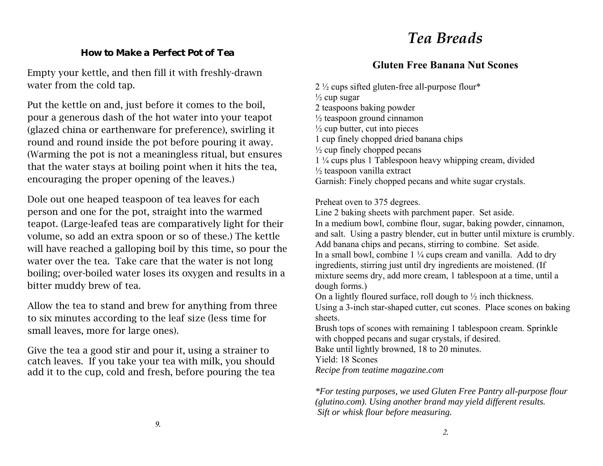## *Tea Breads*

#### *How to Make a Perfect Pot of Tea*

Empty your kettle, and then fill it with freshly-drawn water from the cold tap.

Put the kettle on and, just before it comes to the boil, pour a generous dash of the hot water into your teapot (glazed china or earthenware for preference), swirling it round and round inside the pot before pouring it away. (Warming the pot is not a meaningless ritual, but ensures that the water stays at boiling point when it hits the tea, encouraging the proper opening of the leaves.)

Dole out one heaped teaspoon of tea leaves for each person and one for the pot, straight into the warmed teapot. (Large-leafed teas are comparatively light for their volume, so add an extra spoon or so of these.) The kettle will have reached a galloping boil by this time, so pour the water over the tea. Take care that the water is not long boiling; over-boiled water loses its oxygen and results in a bitter muddy brew of tea.

Allow the tea to stand and brew for anything from three to six minutes according to the leaf size (less time for small leaves, more for large ones).

Give the tea a good stir and pour it, using a strainer to catch leaves. If you take your tea with milk, you should add it to the cup, cold and fresh, before pouring the tea

### **Gluten Free Banana Nut Scones**

2 ½ cups sifted gluten-free all-purpose flour\*  $\frac{1}{2}$  cup sugar 2 teaspoons baking powder  $\frac{1}{2}$  teaspoon ground cinnamon  $\frac{1}{2}$  cup butter, cut into pieces 1 cup finely chopped dried banana chips  $\frac{1}{2}$  cup finely chopped pecans 1 ¼ cups plus 1 Tablespoon heavy whipping cream, divided ½ teaspoon vanilla extract Garnish: Finely chopped pecans and white sugar crystals.

Preheat oven to 375 degrees.

Line 2 baking sheets with parchment paper. Set aside. In a medium bowl, combine flour, sugar, baking powder, cinnamon, and salt. Using a pastry blender, cut in butter until mixture is crumbly. Add banana chips and pecans, stirring to combine. Set aside. In a small bowl, combine  $1\frac{1}{4}$  cups cream and vanilla. Add to dry ingredients, stirring just until dry ingredients are moistened. (If mixture seems dry, add more cream, 1 tablespoon at a time, until a dough forms.)

On a lightly floured surface, roll dough to ½ inch thickness.

Using a 3-inch star-shaped cutter, cut scones. Place scones on baking sheets.

Brush tops of scones with remaining 1 tablespoon cream. Sprinkle with chopped pecans and sugar crystals, if desired.

Bake until lightly browned, 18 to 20 minutes.

Yield: 18 Scones

*Recipe from teatime magazine.com* 

*\*For testing purposes, we used Gluten Free Pantry all-purpose flour (glutino.com). Using another brand may yield different results. Sift or whisk flour before measuring.*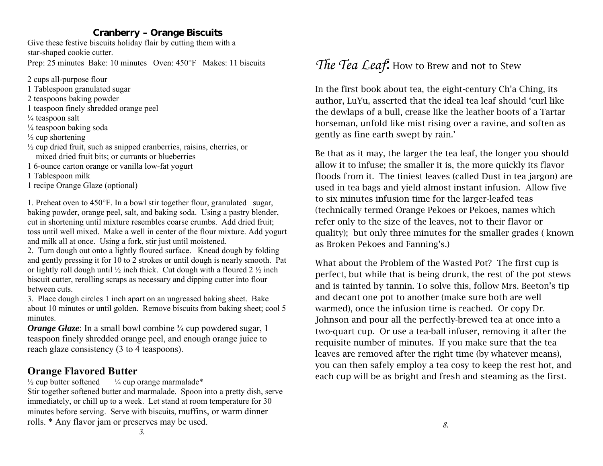#### **Cranberry – Orange Biscuits**

Give these festive biscuits holiday flair by cutting them with a star-shaped cookie cutter. Prep: 25 minutes Bake: 10 minutes Oven: 450°F Makes: 11 biscuits

2 cups all-purpose flour

1 Tablespoon granulated sugar

- 2 teaspoons baking powder
- 1 teaspoon finely shredded orange peel
- $\frac{1}{4}$  teaspoon salt
- ¼ teaspoon baking soda
- $\frac{1}{2}$  cup shortening
- $\frac{1}{2}$  cup dried fruit, such as snipped cranberries, raisins, cherries, or mixed dried fruit bits; or currants or blueberries
- 1 6-ounce carton orange or vanilla low-fat yogurt
- 1 Tablespoon milk
- 1 recipe Orange Glaze (optional)

1. Preheat oven to  $450^{\circ}$ F. In a bowl stir together flour, granulated sugar, baking powder, orange peel, salt, and baking soda. Using a pastry blender, cut in shortening until mixture resembles coarse crumbs. Add dried fruit; toss until well mixed. Make a well in center of the flour mixture. Add yogurt and milk all at once. Using a fork, stir just until moistened.

2. Turn dough out onto a lightly floured surface. Knead dough by folding and gently pressing it for 10 to 2 strokes or until dough is nearly smooth. Pat or lightly roll dough until  $\frac{1}{2}$  inch thick. Cut dough with a floured 2  $\frac{1}{2}$  inch biscuit cutter, rerolling scraps as necessary and dipping cutter into flour between cuts.

3. Place dough circles 1 inch apart on an ungreased baking sheet. Bake about 10 minutes or until golden. Remove biscuits from baking sheet; cool 5 minutes.

*Orange Glaze:* In a small bowl combine <sup>3</sup>/4 cup powdered sugar, 1 teaspoon finely shredded orange peel, and enough orange juice to reach glaze consistency (3 to 4 teaspoons).

### **Orange Flavored Butter**

 $\frac{1}{2}$  cup butter softened  $\frac{1}{4}$  cup orange marmalade\*

Stir together softened butter and marmalade. Spoon into a pretty dish, serve immediately, or chill up to a week. Let stand at room temperature for 30 minutes before serving. Serve with biscuits, muffins, or warm dinner rolls. \* Any flavor jam or preserves may be used.

### The Tea Leaf. How to Brew and not to Stew

In the first book about tea, the eight-century Ch'a Ching, its author, LuYu, asserted that the ideal tea leaf should 'curl like the dewlaps of a bull, crease like the leather boots of a Tartar horseman, unfold like mist rising over a ravine, and soften as gently as fine earth swept by rain.'

Be that as it may, the larger the tea leaf, the longer you should allow it to infuse; the smaller it is, the more quickly its flavor floods from it. The tiniest leaves (called Dust in tea jargon) are used in tea bags and yield almost instant infusion. Allow five to six minutes infusion time for the larger-leafed teas (technically termed Orange Pekoes or Pekoes, names which refer only to the size of the leaves, not to their flavor or quality); but only three minutes for the smaller grades ( known as Broken Pekoes and Fanning's.)

What about the Problem of the Wasted Pot? The first cup is perfect, but while that is being drunk, the rest of the pot stews and is tainted by tannin. To solve this, follow Mrs. Beeton's tip and decant one pot to another (make sure both are well warmed), once the infusion time is reached. Or copy Dr. Johnson and pour all the perfectly-brewed tea at once into a two-quart cup. Or use a tea-ball infuser, removing it after the requisite number of minutes. If you make sure that the tea leaves are removed after the right time (by whatever means), you can then safely employ a tea cosy to keep the rest hot, and each cup will be as bright and fresh and steaming as the first.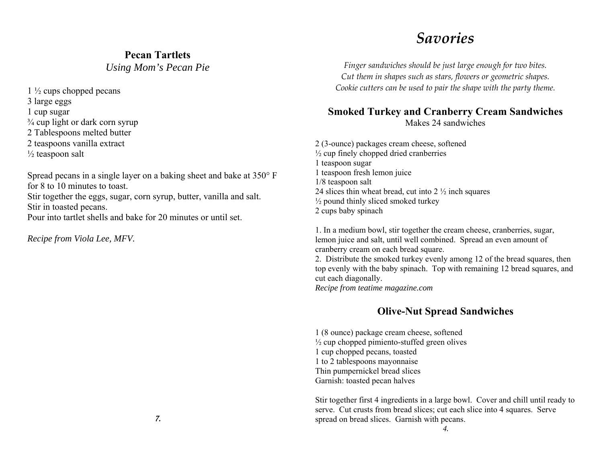#### **Pecan Tartlets**

*Using Mom's Pecan Pie* 

1 ½ cups chopped pecans

3 large eggs

1 cup sugar

 $\frac{3}{4}$  cup light or dark corn syrup

2 Tablespoons melted butter

2 teaspoons vanilla extract

 $\frac{1}{2}$  teaspoon salt

Spread pecans in a single layer on a baking sheet and bake at  $350^{\circ}$  F for 8 to 10 minutes to toast.

Stir together the eggs, sugar, corn syrup, butter, vanilla and salt. Stir in toasted pecans.

Pour into tartlet shells and bake for 20 minutes or until set.

*Recipe from Viola Lee, MFV.* 

## *Savories*

*Finger sandwiches should be just large enough for two bites. Cut them in shapes such as stars, flowers or geometric shapes. Cookie cutters can be used to pair the shape with the party theme.*

#### **Smoked Turkey and Cranberry Cream Sandwiches**  Makes 24 sandwiches

2 (3-ounce) packages cream cheese, softened  $\frac{1}{2}$  cup finely chopped dried cranberries 1 teaspoon sugar 1 teaspoon fresh lemon juice 1/8 teaspoon salt 24 slices thin wheat bread, cut into 2 ½ inch squares  $\frac{1}{2}$  pound thinly sliced smoked turkey 2 cups baby spinach

1. In a medium bowl, stir together the cream cheese, cranberries, sugar, lemon juice and salt, until well combined. Spread an even amount of cranberry cream on each bread square.

2. Distribute the smoked turkey evenly among 12 of the bread squares, then top evenly with the baby spinach. Top with remaining 12 bread squares, and cut each diagonally.

*Recipe from teatime magazine.com* 

#### **Olive-Nut Spread Sandwiches**

1 (8 ounce) package cream cheese, softened  $\frac{1}{2}$  cup chopped pimiento-stuffed green olives 1 cup chopped pecans, toasted 1 to 2 tablespoons mayonnaise Thin pumpernickel bread slices Garnish: toasted pecan halves

Stir together first 4 ingredients in a large bowl. Cover and chill until ready to serve. Cut crusts from bread slices; cut each slice into 4 squares. Serve spread on bread slices. Garnish with pecans.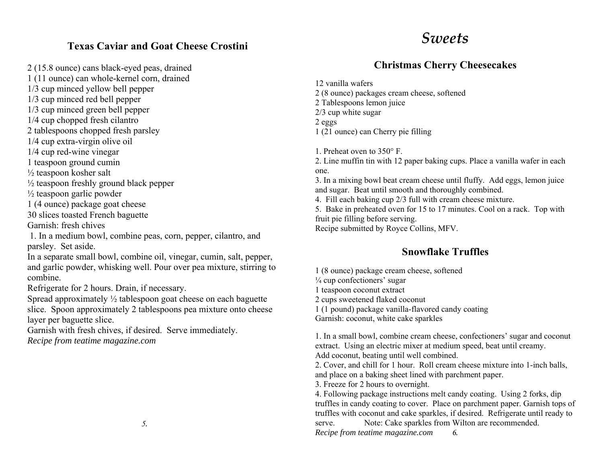#### **Texas Caviar and Goat Cheese Crostini**

2 (15.8 ounce) cans black-eyed peas, drained

1 (11 ounce) can whole-kernel corn, drained

1/3 cup minced yellow bell pepper

1/3 cup minced red bell pepper

1/3 cup minced green bell pepper

1/4 cup chopped fresh cilantro

2 tablespoons chopped fresh parsley

1/4 cup extra-virgin olive oil

1/4 cup red-wine vinegar

1 teaspoon ground cumin

½ teaspoon kosher salt

 $\frac{1}{2}$  teaspoon freshly ground black pepper

 $\frac{1}{2}$  teaspoon garlic powder

1 (4 ounce) package goat cheese

30 slices toasted French baguette

Garnish: fresh chives

 1. In a medium bowl, combine peas, corn, pepper, cilantro, and parsley. Set aside.

In a separate small bowl, combine oil, vinegar, cumin, salt, pepper, and garlic powder, whisking well. Pour over pea mixture, stirring to combine.

Refrigerate for 2 hours. Drain, if necessary.

Spread approximately ½ tablespoon goat cheese on each baguette slice. Spoon approximately 2 tablespoons pea mixture onto cheese layer per baguette slice.

Garnish with fresh chives, if desired. Serve immediately. *Recipe from teatime magazine.com* 

### *Sweets*

### **Christmas Cherry Cheesecakes**

12 vanilla wafers 2 (8 ounce) packages cream cheese, softened 2 Tablespoons lemon juice 2/3 cup white sugar 2 eggs 1 (21 ounce) can Cherry pie filling

1. Preheat oven to 350 F.

2. Line muffin tin with 12 paper baking cups. Place a vanilla wafer in each one.

3. In a mixing bowl beat cream cheese until fluffy. Add eggs, lemon juice and sugar. Beat until smooth and thoroughly combined.

4. Fill each baking cup 2/3 full with cream cheese mixture.

5. Bake in preheated oven for 15 to 17 minutes. Cool on a rack. Top with fruit pie filling before serving.

Recipe submitted by Royce Collins, MFV.

### **Snowflake Truffles**

1 (8 ounce) package cream cheese, softened  $\frac{1}{4}$  cup confectioners' sugar 1 teaspoon coconut extract 2 cups sweetened flaked coconut 1 (1 pound) package vanilla-flavored candy coating Garnish: coconut, white cake sparkles

1. In a small bowl, combine cream cheese, confectioners' sugar and coconut extract. Using an electric mixer at medium speed, beat until creamy. Add coconut, beating until well combined.

2. Cover, and chill for 1 hour. Roll cream cheese mixture into 1-inch balls, and place on a baking sheet lined with parchment paper.

3. Freeze for 2 hours to overnight.

4. Following package instructions melt candy coating. Using 2 forks, dip truffles in candy coating to cover. Place on parchment paper. Garnish tops of truffles with coconut and cake sparkles, if desired. Refrigerate until ready to serve. Note: Cake sparkles from Wilton are recommended. *Recipe from teatime magazine.com 6.*